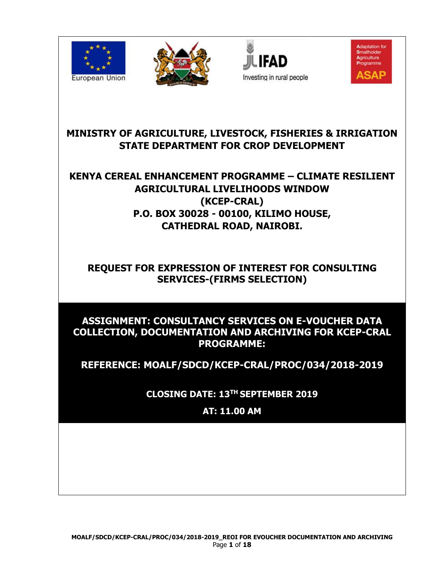







**MINISTRY OF AGRICULTURE, LIVESTOCK, FISHERIES & IRRIGATION STATE DEPARTMENT FOR CROP DEVELOPMENT**

# **KENYA CEREAL ENHANCEMENT PROGRAMME – CLIMATE RESILIENT AGRICULTURAL LIVELIHOODS WINDOW (KCEP-CRAL) P.O. BOX 30028 - 00100, KILIMO HOUSE, CATHEDRAL ROAD, NAIROBI.**

# **REQUEST FOR EXPRESSION OF INTEREST FOR CONSULTING SERVICES-(FIRMS SELECTION)**

### **ASSIGNMENT: CONSULTANCY SERVICES ON E-VOUCHER DATA COLLECTION, DOCUMENTATION AND ARCHIVING FOR KCEP-CRAL PROGRAMME:**

**REFERENCE: MOALF/SDCD/KCEP-CRAL/PROC/034/2018-2019**

**CLOSING DATE: 13TH SEPTEMBER 2019**

**AT: 11.00 AM**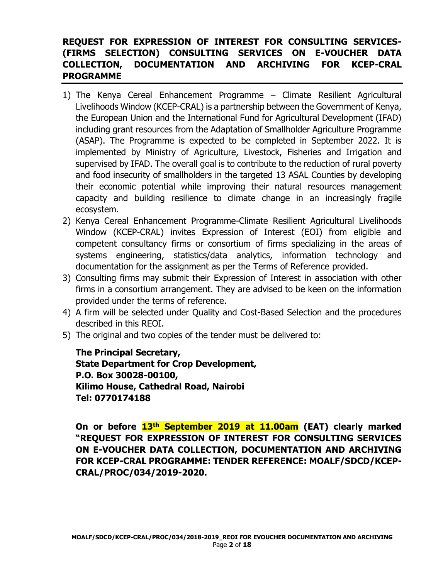#### **REQUEST FOR EXPRESSION OF INTEREST FOR CONSULTING SERVICES- (FIRMS SELECTION) CONSULTING SERVICES ON E-VOUCHER DATA COLLECTION, DOCUMENTATION AND ARCHIVING FOR KCEP-CRAL PROGRAMME**

- 1) The Kenya Cereal Enhancement Programme Climate Resilient Agricultural Livelihoods Window (KCEP-CRAL) is a partnership between the Government of Kenya, the European Union and the International Fund for Agricultural Development (IFAD) including grant resources from the Adaptation of Smallholder Agriculture Programme (ASAP). The Programme is expected to be completed in September 2022. It is implemented by Ministry of Agriculture, Livestock, Fisheries and Irrigation and supervised by IFAD. The overall goal is to contribute to the reduction of rural poverty and food insecurity of smallholders in the targeted 13 ASAL Counties by developing their economic potential while improving their natural resources management capacity and building resilience to climate change in an increasingly fragile ecosystem.
- 2) Kenya Cereal Enhancement Programme-Climate Resilient Agricultural Livelihoods Window (KCEP-CRAL) invites Expression of Interest (EOI) from eligible and competent consultancy firms or consortium of firms specializing in the areas of systems engineering, statistics/data analytics, information technology and documentation for the assignment as per the Terms of Reference provided.
- 3) Consulting firms may submit their Expression of Interest in association with other firms in a consortium arrangement. They are advised to be keen on the information provided under the terms of reference.
- 4) A firm will be selected under Quality and Cost-Based Selection and the procedures described in this REOI.
- 5) The original and two copies of the tender must be delivered to:

**The Principal Secretary, State Department for Crop Development, P.O. Box 30028-00100, Kilimo House, Cathedral Road, Nairobi Tel: 0770174188**

**On or before 13th September 2019 at 11.00am (EAT) clearly marked "REQUEST FOR EXPRESSION OF INTEREST FOR CONSULTING SERVICES ON E-VOUCHER DATA COLLECTION, DOCUMENTATION AND ARCHIVING FOR KCEP-CRAL PROGRAMME: TENDER REFERENCE: MOALF/SDCD/KCEP-CRAL/PROC/034/2019-2020.**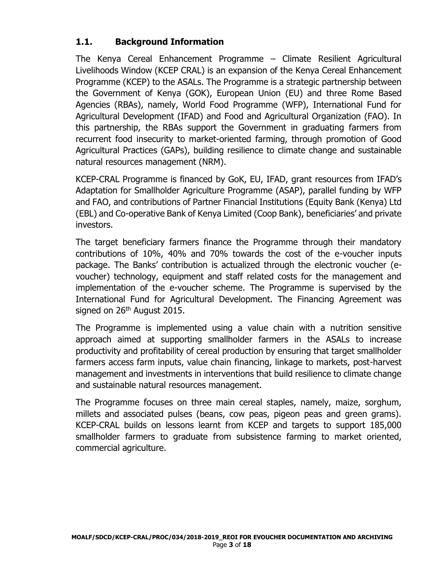### **1.1. Background Information**

The Kenya Cereal Enhancement Programme – Climate Resilient Agricultural Livelihoods Window (KCEP CRAL) is an expansion of the Kenya Cereal Enhancement Programme (KCEP) to the ASALs. The Programme is a strategic partnership between the Government of Kenya (GOK), European Union (EU) and three Rome Based Agencies (RBAs), namely, World Food Programme (WFP), International Fund for Agricultural Development (IFAD) and Food and Agricultural Organization (FAO). In this partnership, the RBAs support the Government in graduating farmers from recurrent food insecurity to market-oriented farming, through promotion of Good Agricultural Practices (GAPs), building resilience to climate change and sustainable natural resources management (NRM).

KCEP-CRAL Programme is financed by GoK, EU, IFAD, grant resources from IFAD's Adaptation for Smallholder Agriculture Programme (ASAP), parallel funding by WFP and FAO, and contributions of Partner Financial Institutions (Equity Bank (Kenya) Ltd (EBL) and Co-operative Bank of Kenya Limited (Coop Bank), beneficiaries' and private investors.

The target beneficiary farmers finance the Programme through their mandatory contributions of 10%, 40% and 70% towards the cost of the e-voucher inputs package. The Banks' contribution is actualized through the electronic voucher (evoucher) technology, equipment and staff related costs for the management and implementation of the e-voucher scheme. The Programme is supervised by the International Fund for Agricultural Development. The Financing Agreement was signed on  $26<sup>th</sup>$  August 2015.

The Programme is implemented using a value chain with a nutrition sensitive approach aimed at supporting smallholder farmers in the ASALs to increase productivity and profitability of cereal production by ensuring that target smallholder farmers access farm inputs, value chain financing, linkage to markets, post-harvest management and investments in interventions that build resilience to climate change and sustainable natural resources management.

The Programme focuses on three main cereal staples, namely, maize, sorghum, millets and associated pulses (beans, cow peas, pigeon peas and green grams). KCEP-CRAL builds on lessons learnt from KCEP and targets to support 185,000 smallholder farmers to graduate from subsistence farming to market oriented, commercial agriculture.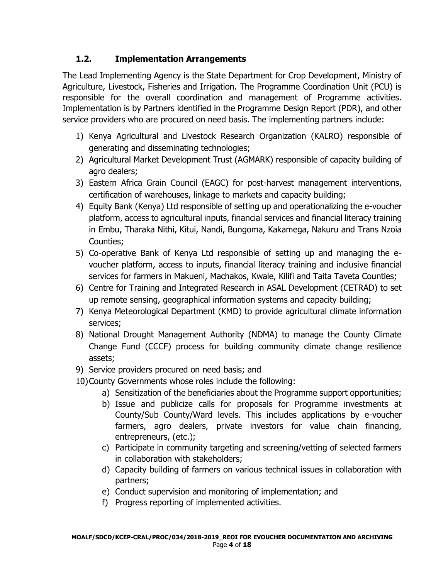### **1.2. Implementation Arrangements**

The Lead Implementing Agency is the State Department for Crop Development, Ministry of Agriculture, Livestock, Fisheries and Irrigation. The Programme Coordination Unit (PCU) is responsible for the overall coordination and management of Programme activities. Implementation is by Partners identified in the Programme Design Report (PDR), and other service providers who are procured on need basis. The implementing partners include:

- 1) Kenya Agricultural and Livestock Research Organization (KALRO) responsible of generating and disseminating technologies;
- 2) Agricultural Market Development Trust (AGMARK) responsible of capacity building of agro dealers;
- 3) Eastern Africa Grain Council (EAGC) for post-harvest management interventions, certification of warehouses, linkage to markets and capacity building;
- 4) Equity Bank (Kenya) Ltd responsible of setting up and operationalizing the e-voucher platform, access to agricultural inputs, financial services and financial literacy training in Embu, Tharaka Nithi, Kitui, Nandi, Bungoma, Kakamega, Nakuru and Trans Nzoia Counties;
- 5) Co-operative Bank of Kenya Ltd responsible of setting up and managing the evoucher platform, access to inputs, financial literacy training and inclusive financial services for farmers in Makueni, Machakos, Kwale, Kilifi and Taita Taveta Counties;
- 6) Centre for Training and Integrated Research in ASAL Development (CETRAD) to set up remote sensing, geographical information systems and capacity building;
- 7) Kenya Meteorological Department (KMD) to provide agricultural climate information services;
- 8) National Drought Management Authority (NDMA) to manage the County Climate Change Fund (CCCF) process for building community climate change resilience assets;
- 9) Service providers procured on need basis; and
- 10)County Governments whose roles include the following:
	- a) Sensitization of the beneficiaries about the Programme support opportunities;
	- b) Issue and publicize calls for proposals for Programme investments at County/Sub County/Ward levels. This includes applications by e-voucher farmers, agro dealers, private investors for value chain financing, entrepreneurs, (etc.);
	- c) Participate in community targeting and screening/vetting of selected farmers in collaboration with stakeholders;
	- d) Capacity building of farmers on various technical issues in collaboration with partners;
	- e) Conduct supervision and monitoring of implementation; and
	- f) Progress reporting of implemented activities.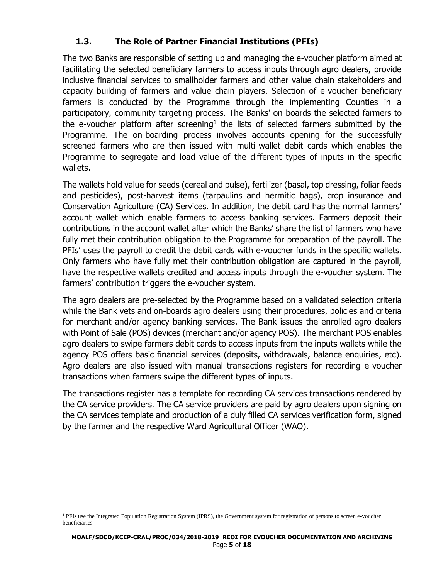### **1.3. The Role of Partner Financial Institutions (PFIs)**

The two Banks are responsible of setting up and managing the e-voucher platform aimed at facilitating the selected beneficiary farmers to access inputs through agro dealers, provide inclusive financial services to smallholder farmers and other value chain stakeholders and capacity building of farmers and value chain players. Selection of e-voucher beneficiary farmers is conducted by the Programme through the implementing Counties in a participatory, community targeting process. The Banks' on-boards the selected farmers to the e-voucher platform after screening<sup>1</sup> the lists of selected farmers submitted by the Programme. The on-boarding process involves accounts opening for the successfully screened farmers who are then issued with multi-wallet debit cards which enables the Programme to segregate and load value of the different types of inputs in the specific wallets.

The wallets hold value for seeds (cereal and pulse), fertilizer (basal, top dressing, foliar feeds and pesticides), post-harvest items (tarpaulins and hermitic bags), crop insurance and Conservation Agriculture (CA) Services. In addition, the debit card has the normal farmers' account wallet which enable farmers to access banking services. Farmers deposit their contributions in the account wallet after which the Banks' share the list of farmers who have fully met their contribution obligation to the Programme for preparation of the payroll. The PFIs' uses the payroll to credit the debit cards with e-voucher funds in the specific wallets. Only farmers who have fully met their contribution obligation are captured in the payroll, have the respective wallets credited and access inputs through the e-voucher system. The farmers' contribution triggers the e-voucher system.

The agro dealers are pre-selected by the Programme based on a validated selection criteria while the Bank vets and on-boards agro dealers using their procedures, policies and criteria for merchant and/or agency banking services. The Bank issues the enrolled agro dealers with Point of Sale (POS) devices (merchant and/or agency POS). The merchant POS enables agro dealers to swipe farmers debit cards to access inputs from the inputs wallets while the agency POS offers basic financial services (deposits, withdrawals, balance enquiries, etc). Agro dealers are also issued with manual transactions registers for recording e-voucher transactions when farmers swipe the different types of inputs.

The transactions register has a template for recording CA services transactions rendered by the CA service providers. The CA service providers are paid by agro dealers upon signing on the CA services template and production of a duly filled CA services verification form, signed by the farmer and the respective Ward Agricultural Officer (WAO).

l <sup>1</sup> PFIs use the Integrated Population Registration System (IPRS), the Government system for registration of persons to screen e-voucher beneficiaries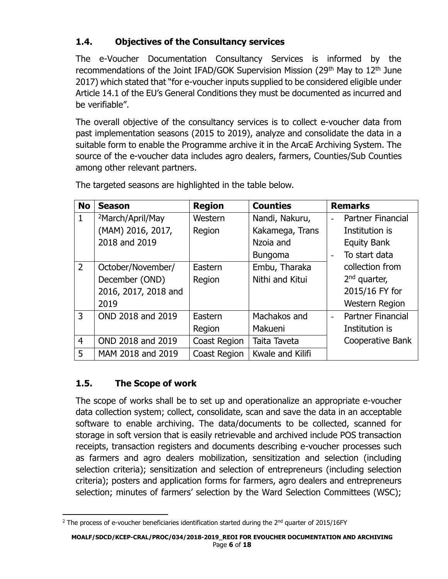# **1.4. Objectives of the Consultancy services**

The e-Voucher Documentation Consultancy Services is informed by the recommendations of the Joint IFAD/GOK Supervision Mission (29<sup>th</sup> May to 12<sup>th</sup> June 2017) which stated that "for e-voucher inputs supplied to be considered eligible under Article 14.1 of the EU's General Conditions they must be documented as incurred and be verifiable".

The overall objective of the consultancy services is to collect e-voucher data from past implementation seasons (2015 to 2019), analyze and consolidate the data in a suitable form to enable the Programme archive it in the ArcaE Archiving System. The source of the e-voucher data includes agro dealers, farmers, Counties/Sub Counties among other relevant partners.

| <b>No</b>      | <b>Season</b>                | <b>Region</b> | <b>Counties</b>  | <b>Remarks</b>           |
|----------------|------------------------------|---------------|------------------|--------------------------|
| $\mathbf{1}$   | <sup>2</sup> March/April/May | Western       | Nandi, Nakuru,   | <b>Partner Financial</b> |
|                | (MAM) 2016, 2017,            | Region        | Kakamega, Trans  | Institution is           |
|                | 2018 and 2019                |               | Nzoia and        | <b>Equity Bank</b>       |
|                |                              |               | <b>Bungoma</b>   | To start data            |
| $\overline{2}$ | October/November/            | Eastern       | Embu, Tharaka    | collection from          |
|                | December (OND)               | Region        | Nithi and Kitui  | $2nd$ quarter,           |
|                | 2016, 2017, 2018 and         |               |                  | 2015/16 FY for           |
|                | 2019                         |               |                  | <b>Western Region</b>    |
| 3              | OND 2018 and 2019            | Eastern       | Machakos and     | <b>Partner Financial</b> |
|                |                              | Region        | Makueni          | Institution is           |
| $\overline{4}$ | OND 2018 and 2019            | Coast Region  | Taita Taveta     | <b>Cooperative Bank</b>  |
| 5              | MAM 2018 and 2019            | Coast Region  | Kwale and Kilifi |                          |

The targeted seasons are highlighted in the table below.

# **1.5. The Scope of work**

The scope of works shall be to set up and operationalize an appropriate e-voucher data collection system; collect, consolidate, scan and save the data in an acceptable software to enable archiving. The data/documents to be collected, scanned for storage in soft version that is easily retrievable and archived include POS transaction receipts, transaction registers and documents describing e-voucher processes such as farmers and agro dealers mobilization, sensitization and selection (including selection criteria); sensitization and selection of entrepreneurs (including selection criteria); posters and application forms for farmers, agro dealers and entrepreneurs selection; minutes of farmers' selection by the Ward Selection Committees (WSC);

 $\overline{\phantom{a}}$ <sup>2</sup> The process of e-voucher beneficiaries identification started during the  $2<sup>nd</sup>$  quarter of 2015/16FY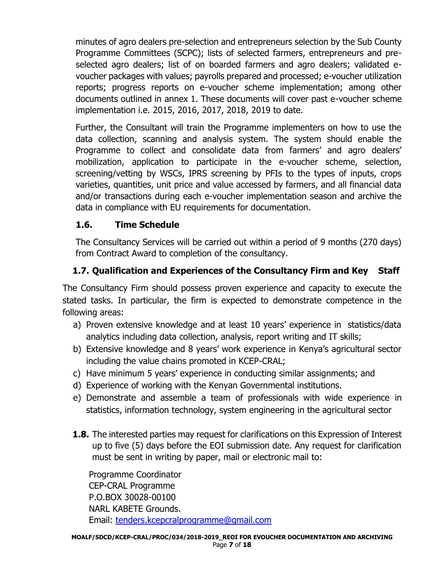minutes of agro dealers pre-selection and entrepreneurs selection by the Sub County Programme Committees (SCPC); lists of selected farmers, entrepreneurs and preselected agro dealers; list of on boarded farmers and agro dealers; validated evoucher packages with values; payrolls prepared and processed; e-voucher utilization reports; progress reports on e-voucher scheme implementation; among other documents outlined in annex 1. These documents will cover past e-voucher scheme implementation i.e. 2015, 2016, 2017, 2018, 2019 to date.

Further, the Consultant will train the Programme implementers on how to use the data collection, scanning and analysis system. The system should enable the Programme to collect and consolidate data from farmers' and agro dealers' mobilization, application to participate in the e-voucher scheme, selection, screening/vetting by WSCs, IPRS screening by PFIs to the types of inputs, crops varieties, quantities, unit price and value accessed by farmers, and all financial data and/or transactions during each e-voucher implementation season and archive the data in compliance with EU requirements for documentation.

### **1.6. Time Schedule**

The Consultancy Services will be carried out within a period of 9 months (270 days) from Contract Award to completion of the consultancy.

## **1.7. Qualification and Experiences of the Consultancy Firm and Key Staff**

The Consultancy Firm should possess proven experience and capacity to execute the stated tasks. In particular, the firm is expected to demonstrate competence in the following areas:

- a) Proven extensive knowledge and at least 10 years' experience in statistics/data analytics including data collection, analysis, report writing and IT skills;
- b) Extensive knowledge and 8 years' work experience in Kenya's agricultural sector including the value chains promoted in KCEP-CRAL;
- c) Have minimum 5 years' experience in conducting similar assignments; and
- d) Experience of working with the Kenyan Governmental institutions.
- e) Demonstrate and assemble a team of professionals with wide experience in statistics, information technology, system engineering in the agricultural sector
- **1.8.** The interested parties may request for clarifications on this Expression of Interest up to five (5) days before the EOI submission date. Any request for clarification must be sent in writing by paper, mail or electronic mail to:

Programme Coordinator CEP-CRAL Programme P.O.BOX 30028-00100 NARL KABETE Grounds. Email: [tenders.kcepcralprogramme@gmail.com](mailto:tenders.kcepcralprogramme@gmail.com)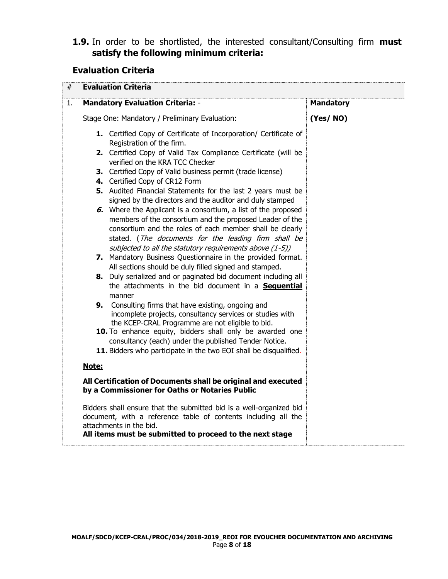#### **1.9.** In order to be shortlisted, the interested consultant/Consulting firm **must satisfy the following minimum criteria:**

### **Evaluation Criteria**

| #  | <b>Evaluation Criteria</b>                                                                                                                                                                                                                                                                                                                                                                                                                                                                                                                                                                                                                                                        |                  |  |  |  |
|----|-----------------------------------------------------------------------------------------------------------------------------------------------------------------------------------------------------------------------------------------------------------------------------------------------------------------------------------------------------------------------------------------------------------------------------------------------------------------------------------------------------------------------------------------------------------------------------------------------------------------------------------------------------------------------------------|------------------|--|--|--|
| 1. | <b>Mandatory Evaluation Criteria: -</b>                                                                                                                                                                                                                                                                                                                                                                                                                                                                                                                                                                                                                                           | <b>Mandatory</b> |  |  |  |
|    | Stage One: Mandatory / Preliminary Evaluation:                                                                                                                                                                                                                                                                                                                                                                                                                                                                                                                                                                                                                                    | (Yes/NO)         |  |  |  |
|    | 1. Certified Copy of Certificate of Incorporation/ Certificate of<br>Registration of the firm.<br>2. Certified Copy of Valid Tax Compliance Certificate (will be<br>verified on the KRA TCC Checker<br>3. Certified Copy of Valid business permit (trade license)<br>4. Certified Copy of CR12 Form<br>5. Audited Financial Statements for the last 2 years must be<br>signed by the directors and the auditor and duly stamped<br>6. Where the Applicant is a consortium, a list of the proposed<br>members of the consortium and the proposed Leader of the<br>consortium and the roles of each member shall be clearly<br>stated. (The documents for the leading firm shall be |                  |  |  |  |
|    | subjected to all the statutory requirements above (1-5))<br>7. Mandatory Business Questionnaire in the provided format.<br>All sections should be duly filled signed and stamped.<br>8. Duly serialized and or paginated bid document including all<br>the attachments in the bid document in a Sequential<br>manner                                                                                                                                                                                                                                                                                                                                                              |                  |  |  |  |
|    | 9. Consulting firms that have existing, ongoing and<br>incomplete projects, consultancy services or studies with<br>the KCEP-CRAL Programme are not eligible to bid.                                                                                                                                                                                                                                                                                                                                                                                                                                                                                                              |                  |  |  |  |
|    | 10. To enhance equity, bidders shall only be awarded one<br>consultancy (each) under the published Tender Notice.                                                                                                                                                                                                                                                                                                                                                                                                                                                                                                                                                                 |                  |  |  |  |
|    | 11. Bidders who participate in the two EOI shall be disqualified.                                                                                                                                                                                                                                                                                                                                                                                                                                                                                                                                                                                                                 |                  |  |  |  |
|    | Note:                                                                                                                                                                                                                                                                                                                                                                                                                                                                                                                                                                                                                                                                             |                  |  |  |  |
|    | All Certification of Documents shall be original and executed<br>by a Commissioner for Oaths or Notaries Public                                                                                                                                                                                                                                                                                                                                                                                                                                                                                                                                                                   |                  |  |  |  |
|    | Bidders shall ensure that the submitted bid is a well-organized bid<br>document, with a reference table of contents including all the<br>attachments in the bid.<br>All items must be submitted to proceed to the next stage                                                                                                                                                                                                                                                                                                                                                                                                                                                      |                  |  |  |  |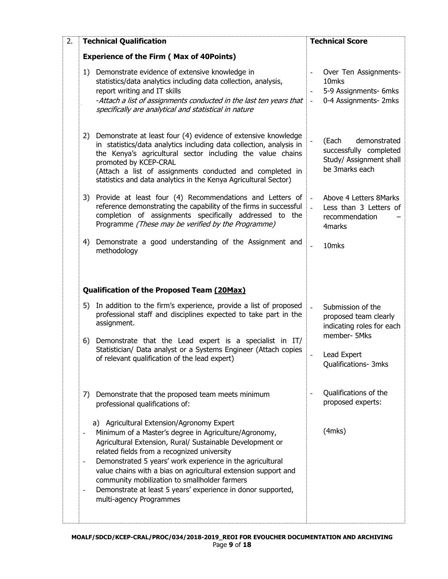| 2. | <b>Technical Qualification</b>                                                                                                                                                                                                                                                                                                                                                                                                                                                                                        | <b>Technical Score</b>                                                                                                     |  |  |
|----|-----------------------------------------------------------------------------------------------------------------------------------------------------------------------------------------------------------------------------------------------------------------------------------------------------------------------------------------------------------------------------------------------------------------------------------------------------------------------------------------------------------------------|----------------------------------------------------------------------------------------------------------------------------|--|--|
|    | <b>Experience of the Firm (Max of 40Points)</b>                                                                                                                                                                                                                                                                                                                                                                                                                                                                       |                                                                                                                            |  |  |
|    | 1) Demonstrate evidence of extensive knowledge in<br>statistics/data analytics including data collection, analysis,<br>report writing and IT skills<br>-Attach a list of assignments conducted in the last ten years that<br>specifically are analytical and statistical in nature                                                                                                                                                                                                                                    | Over Ten Assignments-<br>10 <sub>mks</sub><br>5-9 Assignments- 6mks<br>0-4 Assignments- 2mks<br>$\equiv$                   |  |  |
|    | 2) Demonstrate at least four (4) evidence of extensive knowledge<br>in statistics/data analytics including data collection, analysis in<br>the Kenya's agricultural sector including the value chains<br>promoted by KCEP-CRAL<br>(Attach a list of assignments conducted and completed in<br>statistics and data analytics in the Kenya Agricultural Sector)                                                                                                                                                         | demonstrated<br>(Each<br>$\blacksquare$<br>successfully completed<br>Study/ Assignment shall<br>be 3marks each             |  |  |
|    | 3) Provide at least four (4) Recommendations and Letters of<br>reference demonstrating the capability of the firms in successful<br>completion of assignments specifically addressed to the<br>Programme (These may be verified by the Programme)                                                                                                                                                                                                                                                                     | Above 4 Letters 8Marks<br>$\overline{\phantom{a}}$<br>Less than 3 Letters of<br>$\overline{a}$<br>recommendation<br>4marks |  |  |
|    | Demonstrate a good understanding of the Assignment and<br>4)<br>methodology                                                                                                                                                                                                                                                                                                                                                                                                                                           | 10mks<br>$\overline{a}$                                                                                                    |  |  |
|    | Qualification of the Proposed Team (20Max)                                                                                                                                                                                                                                                                                                                                                                                                                                                                            |                                                                                                                            |  |  |
|    | 5) In addition to the firm's experience, provide a list of proposed<br>professional staff and disciplines expected to take part in the<br>assignment.                                                                                                                                                                                                                                                                                                                                                                 | Submission of the<br>$\overline{a}$<br>proposed team clearly<br>indicating roles for each<br>member- 5Mks                  |  |  |
|    | Demonstrate that the Lead expert is a specialist in IT/<br>6)<br>Statistician/ Data analyst or a Systems Engineer (Attach copies<br>of relevant qualification of the lead expert)                                                                                                                                                                                                                                                                                                                                     | Lead Expert<br>Qualifications- 3mks                                                                                        |  |  |
|    | Demonstrate that the proposed team meets minimum<br>7)<br>professional qualifications of:                                                                                                                                                                                                                                                                                                                                                                                                                             | Qualifications of the<br>proposed experts:                                                                                 |  |  |
|    | a) Agricultural Extension/Agronomy Expert<br>Minimum of a Master's degree in Agriculture/Agronomy,<br>Agricultural Extension, Rural/ Sustainable Development or<br>related fields from a recognized university<br>Demonstrated 5 years' work experience in the agricultural<br>$\overline{\phantom{a}}$<br>value chains with a bias on agricultural extension support and<br>community mobilization to smallholder farmers<br>Demonstrate at least 5 years' experience in donor supported,<br>multi-agency Programmes | $(4$ mks $)$                                                                                                               |  |  |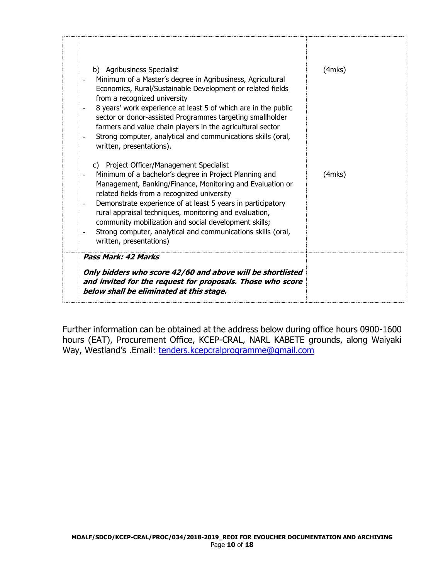| b) Agribusiness Specialist<br>Minimum of a Master's degree in Agribusiness, Agricultural<br>Economics, Rural/Sustainable Development or related fields<br>from a recognized university<br>8 years' work experience at least 5 of which are in the public<br>sector or donor-assisted Programmes targeting smallholder<br>farmers and value chain players in the agricultural sector<br>Strong computer, analytical and communications skills (oral,<br>written, presentations).                               | $(4$ mks $)$ |
|---------------------------------------------------------------------------------------------------------------------------------------------------------------------------------------------------------------------------------------------------------------------------------------------------------------------------------------------------------------------------------------------------------------------------------------------------------------------------------------------------------------|--------------|
| c) Project Officer/Management Specialist<br>Minimum of a bachelor's degree in Project Planning and<br>Management, Banking/Finance, Monitoring and Evaluation or<br>related fields from a recognized university<br>Demonstrate experience of at least 5 years in participatory<br>$\blacksquare$<br>rural appraisal techniques, monitoring and evaluation,<br>community mobilization and social development skills;<br>Strong computer, analytical and communications skills (oral,<br>written, presentations) | $(4$ mks $)$ |
| <b>Pass Mark: 42 Marks</b><br>Only bidders who score 42/60 and above will be shortlisted<br>and invited for the request for proposals. Those who score<br>below shall be eliminated at this stage.                                                                                                                                                                                                                                                                                                            |              |

Further information can be obtained at the address below during office hours 0900-1600 hours (EAT), Procurement Office, KCEP-CRAL, NARL KABETE grounds, along Waiyaki Way, Westland's .Email: [tenders.kcepcralprogramme@gmail.com](mailto:tenders.kcepcralprogramme@gmail.com)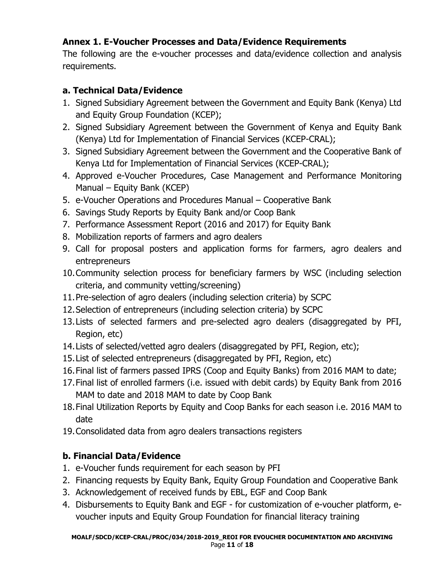# **Annex 1. E-Voucher Processes and Data/Evidence Requirements**

The following are the e-voucher processes and data/evidence collection and analysis requirements.

### **a. Technical Data/Evidence**

- 1. Signed Subsidiary Agreement between the Government and Equity Bank (Kenya) Ltd and Equity Group Foundation (KCEP);
- 2. Signed Subsidiary Agreement between the Government of Kenya and Equity Bank (Kenya) Ltd for Implementation of Financial Services (KCEP-CRAL);
- 3. Signed Subsidiary Agreement between the Government and the Cooperative Bank of Kenya Ltd for Implementation of Financial Services (KCEP-CRAL);
- 4. Approved e-Voucher Procedures, Case Management and Performance Monitoring Manual – Equity Bank (KCEP)
- 5. e-Voucher Operations and Procedures Manual Cooperative Bank
- 6. Savings Study Reports by Equity Bank and/or Coop Bank
- 7. Performance Assessment Report (2016 and 2017) for Equity Bank
- 8. Mobilization reports of farmers and agro dealers
- 9. Call for proposal posters and application forms for farmers, agro dealers and entrepreneurs
- 10.Community selection process for beneficiary farmers by WSC (including selection criteria, and community vetting/screening)
- 11.Pre-selection of agro dealers (including selection criteria) by SCPC
- 12.Selection of entrepreneurs (including selection criteria) by SCPC
- 13.Lists of selected farmers and pre-selected agro dealers (disaggregated by PFI, Region, etc)
- 14.Lists of selected/vetted agro dealers (disaggregated by PFI, Region, etc);
- 15.List of selected entrepreneurs (disaggregated by PFI, Region, etc)
- 16.Final list of farmers passed IPRS (Coop and Equity Banks) from 2016 MAM to date;
- 17.Final list of enrolled farmers (i.e. issued with debit cards) by Equity Bank from 2016 MAM to date and 2018 MAM to date by Coop Bank
- 18.Final Utilization Reports by Equity and Coop Banks for each season i.e. 2016 MAM to date
- 19.Consolidated data from agro dealers transactions registers

## **b. Financial Data/Evidence**

- 1. e-Voucher funds requirement for each season by PFI
- 2. Financing requests by Equity Bank, Equity Group Foundation and Cooperative Bank
- 3. Acknowledgement of received funds by EBL, EGF and Coop Bank
- 4. Disbursements to Equity Bank and EGF for customization of e-voucher platform, evoucher inputs and Equity Group Foundation for financial literacy training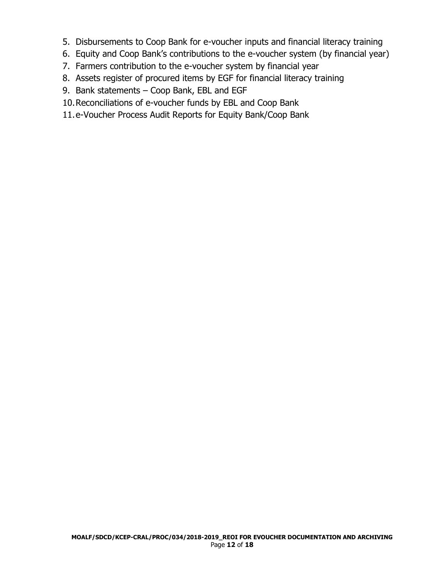- 5. Disbursements to Coop Bank for e-voucher inputs and financial literacy training
- 6. Equity and Coop Bank's contributions to the e-voucher system (by financial year)
- 7. Farmers contribution to the e-voucher system by financial year
- 8. Assets register of procured items by EGF for financial literacy training
- 9. Bank statements Coop Bank, EBL and EGF
- 10.Reconciliations of e-voucher funds by EBL and Coop Bank
- 11.e-Voucher Process Audit Reports for Equity Bank/Coop Bank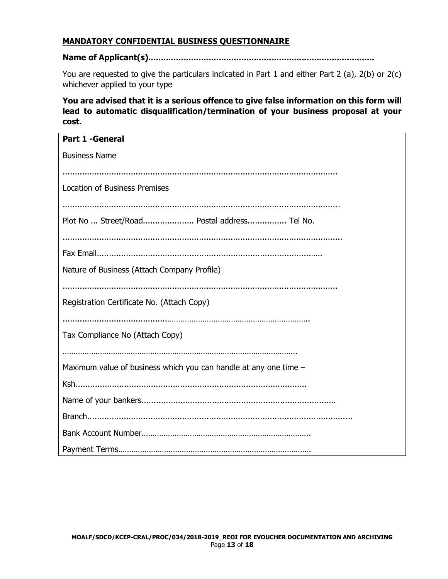#### **MANDATORY CONFIDENTIAL BUSINESS QUESTIONNAIRE**

#### **Name of Applicant(s)..........................................................................................**

You are requested to give the particulars indicated in Part 1 and either Part 2 (a), 2(b) or 2(c) whichever applied to your type

**You are advised that it is a serious offence to give false information on this form will lead to automatic disqualification/termination of your business proposal at your cost.**

| <b>Part 1 -General</b>                                           |
|------------------------------------------------------------------|
| <b>Business Name</b>                                             |
|                                                                  |
| <b>Location of Business Premises</b>                             |
|                                                                  |
| Plot No  Street/Road Postal address Tel No.                      |
|                                                                  |
|                                                                  |
| Nature of Business (Attach Company Profile)                      |
|                                                                  |
| Registration Certificate No. (Attach Copy)                       |
|                                                                  |
| Tax Compliance No (Attach Copy)                                  |
|                                                                  |
| Maximum value of business which you can handle at any one time - |
|                                                                  |
|                                                                  |
|                                                                  |
|                                                                  |
|                                                                  |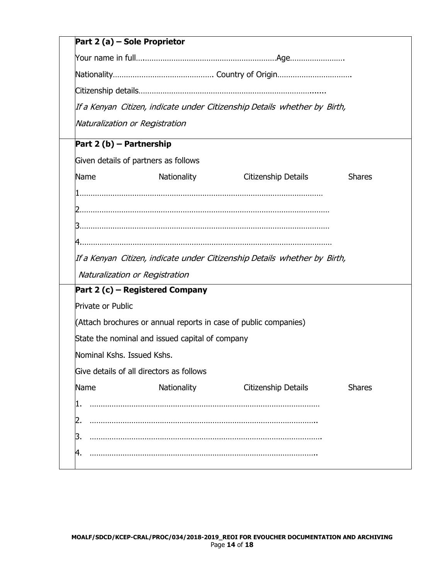| Part 2 (a) – Sole Proprietor             |                                                                  |                                                                              |               |
|------------------------------------------|------------------------------------------------------------------|------------------------------------------------------------------------------|---------------|
|                                          |                                                                  |                                                                              |               |
|                                          |                                                                  |                                                                              |               |
|                                          |                                                                  |                                                                              |               |
|                                          |                                                                  | If a Kenyan Citizen, indicate under Citizenship Details whether by Birth,    |               |
| Naturalization or Registration           |                                                                  |                                                                              |               |
| Part 2 (b) - Partnership                 |                                                                  |                                                                              |               |
| Given details of partners as follows     |                                                                  |                                                                              |               |
| Name                                     | <b>Nationality</b>                                               | Citizenship Details                                                          | <b>Shares</b> |
|                                          |                                                                  |                                                                              |               |
|                                          |                                                                  |                                                                              |               |
|                                          |                                                                  |                                                                              |               |
|                                          |                                                                  |                                                                              |               |
|                                          |                                                                  | If a Kenyan  Citizen, indicate under Citizenship Details  whether by  Birth, |               |
| Naturalization or Registration           |                                                                  |                                                                              |               |
| Part 2 (c) – Registered Company          |                                                                  |                                                                              |               |
| <b>Private or Public</b>                 |                                                                  |                                                                              |               |
|                                          | (Attach brochures or annual reports in case of public companies) |                                                                              |               |
|                                          | State the nominal and issued capital of company                  |                                                                              |               |
| Nominal Kshs. Issued Kshs.               |                                                                  |                                                                              |               |
| Give details of all directors as follows |                                                                  |                                                                              |               |
| Name                                     | Nationality                                                      | Citizenship Details                                                          | <b>Shares</b> |
|                                          |                                                                  |                                                                              |               |
| 2.                                       |                                                                  |                                                                              |               |
| З.                                       |                                                                  |                                                                              |               |
| 4.                                       |                                                                  |                                                                              |               |
|                                          |                                                                  |                                                                              |               |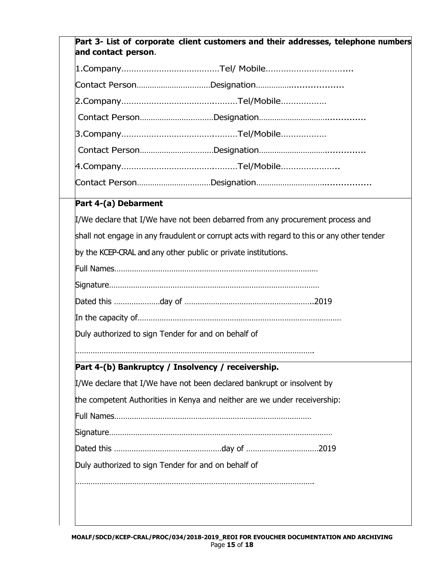| Part 3- List of corporate client customers and their addresses, telephone numbers<br>and contact person. |  |  |  |  |  |
|----------------------------------------------------------------------------------------------------------|--|--|--|--|--|
|                                                                                                          |  |  |  |  |  |
|                                                                                                          |  |  |  |  |  |
|                                                                                                          |  |  |  |  |  |
|                                                                                                          |  |  |  |  |  |
|                                                                                                          |  |  |  |  |  |
|                                                                                                          |  |  |  |  |  |
|                                                                                                          |  |  |  |  |  |
|                                                                                                          |  |  |  |  |  |
| Part 4-(a) Debarment                                                                                     |  |  |  |  |  |
| I/We declare that I/We have not been debarred from any procurement process and                           |  |  |  |  |  |
| shall not engage in any fraudulent or corrupt acts with regard to this or any other tender               |  |  |  |  |  |
| by the KCEP-CRAL and any other public or private institutions.                                           |  |  |  |  |  |
|                                                                                                          |  |  |  |  |  |
|                                                                                                          |  |  |  |  |  |
|                                                                                                          |  |  |  |  |  |
|                                                                                                          |  |  |  |  |  |
| Duly authorized to sign Tender for and on behalf of                                                      |  |  |  |  |  |
| Part 4-(b) Bankruptcy / Insolvency / receivership.                                                       |  |  |  |  |  |
| I/We declare that I/We have not been declared bankrupt or insolvent by                                   |  |  |  |  |  |
| the competent Authorities in Kenya and neither are we under receivership:                                |  |  |  |  |  |
|                                                                                                          |  |  |  |  |  |
|                                                                                                          |  |  |  |  |  |
|                                                                                                          |  |  |  |  |  |
| Duly authorized to sign Tender for and on behalf of                                                      |  |  |  |  |  |
|                                                                                                          |  |  |  |  |  |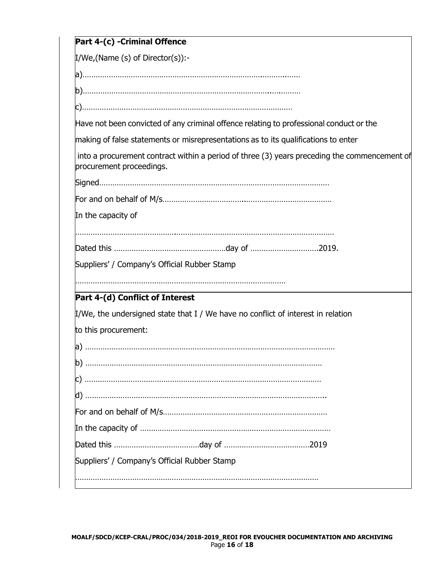| Part 4-(c) - Criminal Offence                                                                                            |
|--------------------------------------------------------------------------------------------------------------------------|
| $I/We$ , (Name (s) of Director(s)):-                                                                                     |
|                                                                                                                          |
|                                                                                                                          |
|                                                                                                                          |
| Have not been convicted of any criminal offence relating to professional conduct or the                                  |
| making of false statements or misrepresentations as to its qualifications to enter                                       |
| into a procurement contract within a period of three (3) years preceding the commencement of<br>procurement proceedings. |
|                                                                                                                          |
|                                                                                                                          |
| In the capacity of                                                                                                       |
|                                                                                                                          |
|                                                                                                                          |
| Suppliers' / Company's Official Rubber Stamp                                                                             |
|                                                                                                                          |
| Part 4-(d) Conflict of Interest                                                                                          |
| I/We, the undersigned state that I / We have no conflict of interest in relation                                         |
| to this procurement:                                                                                                     |
|                                                                                                                          |
|                                                                                                                          |
|                                                                                                                          |
|                                                                                                                          |
|                                                                                                                          |
|                                                                                                                          |
|                                                                                                                          |
| Suppliers' / Company's Official Rubber Stamp                                                                             |
|                                                                                                                          |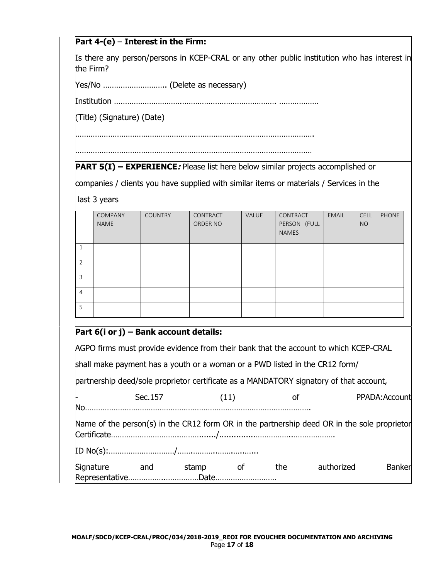#### **Part 4-(e)** – **Interest in the Firm:**

Is there any person/persons in KCEP-CRAL or any other public institution who has interest in the Firm?

Yes/No ……………………….. (Delete as necessary)

Institution ………………………….……………………………………. ………………

(Title) (Signature) (Date)

……………………………………………………………………………………………….

………………………………………………………………………………………………

**PART 5(I) – EXPERIENCE***:* Please list here below similar projects accomplished or

companies / clients you have supplied with similar items or materials / Services in the

last 3 years

|                | COMPANY<br><b>NAME</b> | <b>COUNTRY</b> | CONTRACT<br>ORDER NO | VALUE | CONTRACT<br>PERSON (FULL<br><b>NAMES</b> | <b>EMAIL</b> | CELL<br><b>NO</b> | PHONE |
|----------------|------------------------|----------------|----------------------|-------|------------------------------------------|--------------|-------------------|-------|
| 1              |                        |                |                      |       |                                          |              |                   |       |
| $\overline{2}$ |                        |                |                      |       |                                          |              |                   |       |
| 3              |                        |                |                      |       |                                          |              |                   |       |
| $\overline{4}$ |                        |                |                      |       |                                          |              |                   |       |
| 5              |                        |                |                      |       |                                          |              |                   |       |

#### **Part 6(i or j) – Bank account details:**

AGPO firms must provide evidence from their bank that the account to which KCEP-CRAL

shall make payment has a youth or a woman or a PWD listed in the CR12 form/

partnership deed/sole proprietor certificate as a MANDATORY signatory of that account,

|                                 | Sec. 157 |       | (11) |     |                                                                                             | PPADA: Account |
|---------------------------------|----------|-------|------|-----|---------------------------------------------------------------------------------------------|----------------|
| <b>No</b>                       |          |       |      |     |                                                                                             |                |
|                                 |          |       |      |     | Name of the person(s) in the CR12 form OR in the partnership deed OR in the sole proprietor |                |
|                                 |          |       |      |     |                                                                                             |                |
| Signature<br>RepresentativeDate | and      | stamp |      | the | authorized                                                                                  | Banker         |